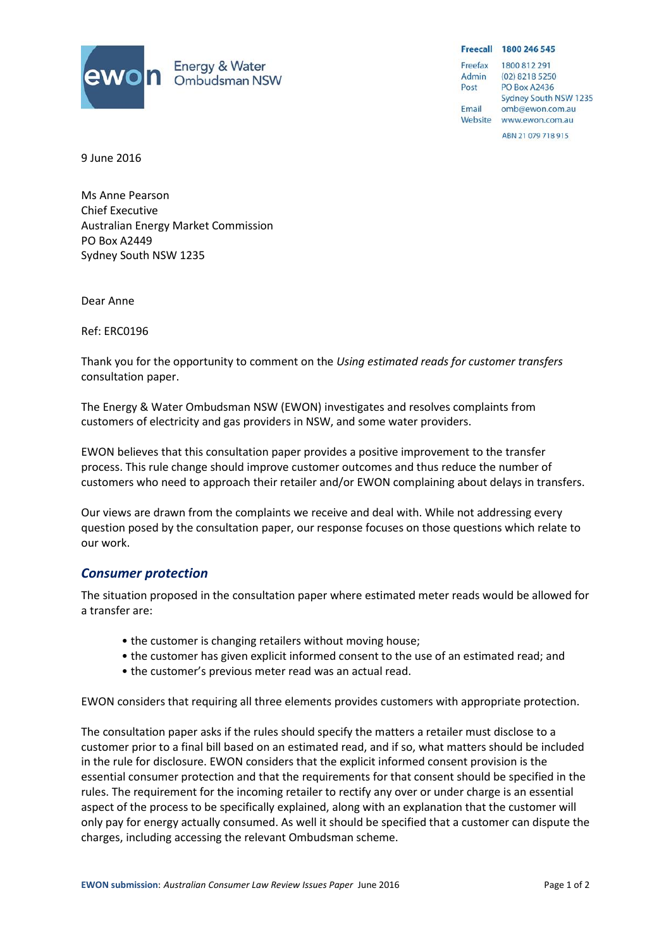

Freecall 1800 246 545 Freefax 1800 812 291 (02) 8218 5250 Admin Post PO Box A2436 Sydney South NSW 1235 Email omb@ewon.com.au Website www.ewon.com.au ABN 21 079 718 915

9 June 2016

Ms Anne Pearson Chief Executive Australian Energy Market Commission PO Box A2449 Sydney South NSW 1235

Dear Anne

Ref: ERC0196

Thank you for the opportunity to comment on the *Using estimated reads for customer transfers* consultation paper.

The Energy & Water Ombudsman NSW (EWON) investigates and resolves complaints from customers of electricity and gas providers in NSW, and some water providers.

EWON believes that this consultation paper provides a positive improvement to the transfer process. This rule change should improve customer outcomes and thus reduce the number of customers who need to approach their retailer and/or EWON complaining about delays in transfers.

Our views are drawn from the complaints we receive and deal with. While not addressing every question posed by the consultation paper, our response focuses on those questions which relate to our work.

## *Consumer protection*

The situation proposed in the consultation paper where estimated meter reads would be allowed for a transfer are:

- the customer is changing retailers without moving house;
- the customer has given explicit informed consent to the use of an estimated read; and
- the customer's previous meter read was an actual read.

EWON considers that requiring all three elements provides customers with appropriate protection.

The consultation paper asks if the rules should specify the matters a retailer must disclose to a customer prior to a final bill based on an estimated read, and if so, what matters should be included in the rule for disclosure. EWON considers that the explicit informed consent provision is the essential consumer protection and that the requirements for that consent should be specified in the rules. The requirement for the incoming retailer to rectify any over or under charge is an essential aspect of the process to be specifically explained, along with an explanation that the customer will only pay for energy actually consumed. As well it should be specified that a customer can dispute the charges, including accessing the relevant Ombudsman scheme.